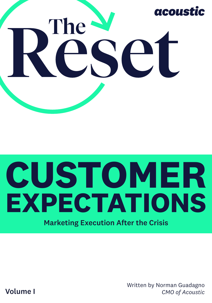

# **CUSTOMER EXPECTATIONS**

Marketing Execution After the Crisis

Written by Norman Guadagno *CMO of Acoustic*

Volume I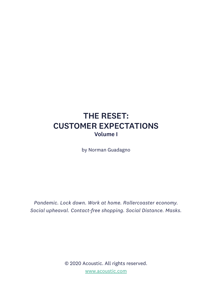### THE RESET: CUSTOMER EXPECTATIONS Volume I

by Norman Guadagno

*Pandemic. Lock down. Work at home. Rollercoaster economy. Social upheaval. Contact-free shopping. Social Distance. Masks.*

> © 2020 Acoustic. All rights reserved. [www.acoustic.com](http://www.acoustic.com)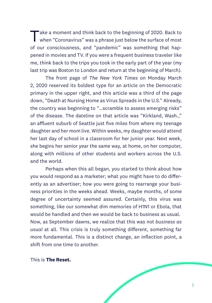Take a moment and think back to the beginning of 2020. Back to when "Coronavirus" was a phrase just below the surface of most of our consciousness, and "pandemic" was something that happened in movies and TV. If you were a frequent business traveler like me, think back to the trips you took in the early part of the year (my last trip was Boston to London and return at the beginning of March).

The front page of *The New York Times* on Monday March 2, 2020 reserved its boldest type for an article on the Democratic primary in the upper right, and this article was a third of the page down, "Death at Nursing Home as Virus Spreads in the U.S." Already, the country was beginning to "…scramble to assess emerging risks" of the disease. The dateline on that article was "Kirkland, Wash.," an affluent suburb of Seattle just five miles from where my teenage daughter and her mom live. Within weeks, my daughter would attend her last day of school in a classroom for her junior year. Next week, she begins her senior year the same way, at home, on her computer, along with millions of other students and workers across the U.S. and the world.

Perhaps when this all began, you started to think about how you would respond as a marketer; what you might have to do differently as an advertiser; how you were going to rearrange your business priorities in the weeks ahead. Weeks, maybe months, of some degree of uncertainty seemed assured. Certainly, this virus was something, like our somewhat dim memories of H1N1 or Ebola, that would be handled and then we would be back to business as usual. Now, as September dawns, we realize that this was not *business as usual* at all. This crisis is truly something different, something far more fundamental. This is a distinct change, an inflection point, a shift from one time to another.

This is **The Reset.**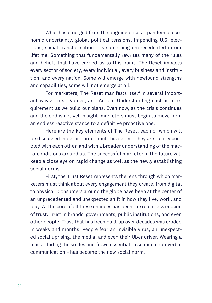What has emerged from the ongoing crises – pandemic, economic uncertainty, global political tensions, impending U.S. elections, social transformation – is something unprecedented in our lifetime. Something that fundamentally rewrites many of the rules and beliefs that have carried us to this point. The Reset impacts every sector of society, every individual, every business and institution, and every nation. Some will emerge with newfound strengths and capabilities; some will not emerge at all.

For marketers, The Reset manifests itself in several important ways: Trust, Values, and Action. Understanding each is a requirement as we build our plans. Even now, as the crisis continues and the end is not yet in sight, marketers must begin to move from an endless reactive stance to a definitive proactive one.

Here are the key elements of The Reset, each of which will be discussed in detail throughout this series. They are tightly coupled with each other, and with a broader understanding of the macro-conditions around us. The successful marketer in the future will keep a close eye on rapid change as well as the newly establishing social norms.

First, the Trust Reset represents the lens through which marketers must think about every engagement they create, from digital to physical. Consumers around the globe have been at the center of an unprecedented and unexpected shift in how they live, work, and play. At the core of all these changes has been the relentless erosion of trust. Trust in brands, governments, public institutions, and even other people. Trust that has been built up over decades was eroded in weeks and months. People fear an invisible virus, an unexpected social uprising, the media, and even their Uber driver. Wearing a mask – hiding the smiles and frown essential to so much non-verbal communication – has become the new social norm.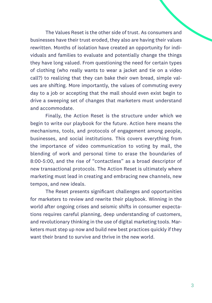The Values Reset is the other side of trust. As consumers and businesses have their trust eroded, they also are having their values rewritten. Months of isolation have created an opportunity for individuals and families to evaluate and potentially change the things they have long valued. From questioning the need for certain types of clothing (who really wants to wear a jacket and tie on a video call?) to realizing that they can bake their own bread, simple values are shifting. More importantly, the values of commuting every day to a job or accepting that the mall should even exist begin to drive a sweeping set of changes that marketers must understand and accommodate.

Finally, the Action Reset is the structure under which we begin to write our playbook for the future. Action here means the mechanisms, tools, and protocols of engagement among people, businesses, and social institutions. This covers everything from the importance of video communication to voting by mail, the blending of work and personal time to erase the boundaries of 8:00-5:00, and the rise of "contactless" as a broad descriptor of new transactional protocols. The Action Reset is ultimately where marketing must lead in creating and embracing new channels, new tempos, and new ideals.

The Reset presents significant challenges and opportunities for marketers to review and rewrite their playbook. Winning in the world after ongoing crises and seismic shifts in consumer expectations requires careful planning, deep understanding of customers, and revolutionary thinking in the use of digital marketing tools. Marketers must step up now and build new best practices quickly if they want their brand to survive and thrive in the new world.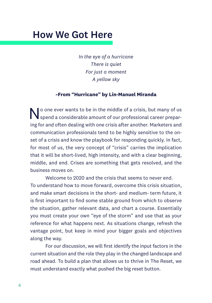## How We Got Here

*In the eye of a hurricane There is quiet For just a moment A yellow sky*

#### **~From "Hurricane" by Lin-Manuel Miranda**

 $\blacksquare$  o one ever wants to be in the middle of a crisis, but many of us spend a considerable amount of our professional career preparing for and often dealing with one crisis after another. Marketers and communication professionals tend to be highly sensitive to the onset of a crisis and know the playbook for responding quickly. In fact, for most of us, the very concept of "crisis" carries the implication that it will be short-lived, high intensity, and with a clear beginning, middle, and end. Crises are something that gets resolved, and the business moves on.

Welcome to 2020 and the crisis that seems to never end. To understand how to move forward, overcome this crisis situation, and make smart decisions in the short- and medium- term future, it is first important to find some stable ground from which to observe the situation, gather relevant data, and chart a course. Essentially you must create your own "eye of the storm" and use that as your reference for what happens next. As situations change, refresh the vantage point, but keep in mind your bigger goals and objectives along the way.

For our discussion, we will first identify the input factors in the current situation and the role they play in the changed landscape and road ahead. To build a plan that allows us to thrive in The Reset, we must understand exactly what pushed the big reset button.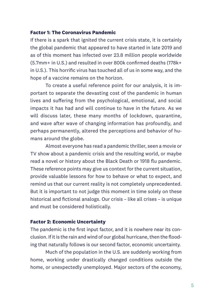#### **Factor 1: The Coronavirus Pandemic**

If there is a spark that ignited the current crisis state, it is certainly the global pandemic that appeared to have started in late 2019 and as of this moment has infected over 23.8 million people worldwide (5.7mm+ in U.S.) and resulted in over 800k confirmed deaths (178k+ in U.S.). This horrific virus has touched all of us in some way, and the hope of a vaccine remains on the horizon.

To create a useful reference point for our analysis, it is important to separate the devasting cost of the pandemic in human lives and suffering from the psychological, emotional, and social impacts it has had and will continue to have in the future. As we will discuss later, these many months of lockdown, quarantine, and wave after wave of changing information has profoundly, and perhaps permanently, altered the perceptions and behavior of humans around the globe.

Almost everyone has read a pandemic thriller, seen a movie or TV show about a pandemic crisis and the resulting world, or maybe read a novel or history about the Black Death or 1918 flu pandemic. These reference points may give us context for the current situation, provide valuable lessons for how to behave or what to expect, and remind us that our current reality is not completely unprecedented. But it is important to not judge this moment in time solely on these historical and fictional analogs. Our crisis – like all crises – is unique and must be considered holistically.

#### **Factor 2: Economic Uncertainty**

The pandemic is the first input factor, and it is nowhere near its conclusion. If it is the rain and wind of our global hurricane, then the flooding that naturally follows is our second factor, economic uncertainty.

Much of the population in the U.S. are suddenly working from home, working under drastically changed conditions outside the home, or unexpectedly unemployed. Major sectors of the economy,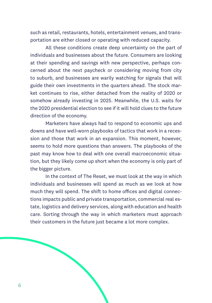such as retail, restaurants, hotels, entertainment venues, and transportation are either closed or operating with reduced capacity.

All these conditions create deep uncertainty on the part of individuals and businesses about the future. Consumers are looking at their spending and savings with new perspective, perhaps concerned about the next paycheck or considering moving from city to suburb, and businesses are warily watching for signals that will guide their own investments in the quarters ahead. The stock market continues to rise, either detached from the reality of 2020 or somehow already investing in 2025. Meanwhile, the U.S. waits for the 2020 presidential election to see if it will hold clues to the future direction of the economy.

Marketers have always had to respond to economic ups and downs and have well-worn playbooks of tactics that work in a recession and those that work in an expansion. This moment, however, seems to hold more questions than answers. The playbooks of the past may know how to deal with one overall macroeconomic situation, but they likely come up short when the economy is only part of the bigger picture.

In the context of The Reset, we must look at the way in which individuals and businesses will spend as much as we look at how much they will spend. The shift to home offices and digital connections impacts public and private transportation, commercial real estate, logistics and delivery services, along with education and health care. Sorting through the way in which marketers must approach their customers in the future just became a lot more complex.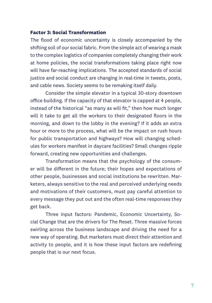#### **Factor 3: Social Transformation**

The flood of economic uncertainty is closely accompanied by the shifting soil of our social fabric. From the simple act of wearing a mask to the complex logistics of companies completely changing their work at home policies, the social transformations taking place right now will have far-reaching implications. The accepted standards of social justice and social conduct are changing in real-time in tweets, posts, and cable news. Society seems to be remaking itself daily.

Consider the simple elevator in a typical 30-story downtown office building. If the capacity of that elevator is capped at 4 people, instead of the historical "as many as will fit," then how much longer will it take to get all the workers to their designated floors in the morning, and down to the lobby in the evening? If it adds an extra hour or more to the process, what will be the impact on rush hours for public transportation and highways? How will changing schedules for workers manifest in daycare facilities? Small changes ripple forward, creating new opportunities and challenges.

Transformation means that the psychology of the consumer will be different in the future; their hopes and expectations of other people, businesses and social institutions be rewritten. Marketers, always sensitive to the real and perceived underlying needs and motivations of their customers, must pay careful attention to every message they put out and the often real-time responses they get back.

Three input factors: Pandemic, Economic Uncertainty, Social Change that are the drivers for The Reset. Three massive forces swirling across the business landscape and driving the need for a new way of operating. But marketers must direct their attention and activity to people, and it is how these input factors are redefining people that is our next focus.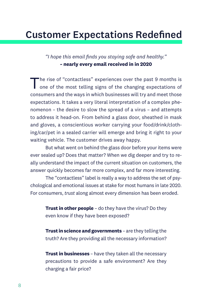# Customer Expectations Redefined

#### *"I hope this email finds you staying safe and healthy."* **~ nearly every email received in in 2020**

The rise of "contactless" experiences over the past 9 months is one of the most telling signs of the changing expectations of consumers and the ways in which businesses will try and meet those expectations. It takes a very literal interpretation of a complex phenomenon – the desire to slow the spread of a virus – and attempts to address it head-on. From behind a glass door, sheathed in mask and gloves, a conscientious worker carrying your food/drink/clothing/car/pet in a sealed carrier will emerge and bring it right to your waiting vehicle. The customer drives away happy.

But what went on behind the glass door before your items were ever sealed up? Does that matter? When we dig deeper and try to really understand the impact of the current situation on customers, the answer quickly becomes far more complex, and far more interesting.

The "contactless" label is really a way to address the set of psychological and emotional issues at stake for most humans in late 2020. For consumers, *trust* along almost every dimension has been eroded.

**Trust in other people** - do they have the virus? Do they even know if they have been exposed?

**Trust in science and governments** – are they telling the truth? Are they providing all the necessary information?

**Trust in businesses** – have they taken all the necessary precautions to provide a safe environment? Are they charging a fair price?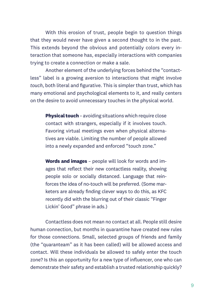With this erosion of trust, people begin to question things that they would never have given a second thought to in the past. This extends beyond the obvious and potentially colors every interaction that someone has, especially interactions with companies trying to create a connection or make a sale.

Another element of the underlying forces behind the "contactless" label is a growing aversion to interactions that might involve *touch*, both literal and figurative. This is simpler than trust, which has many emotional and psychological elements to it, and really centers on the desire to avoid unnecessary touches in the physical world.

**Physical touch** – avoiding situations which require close contact with strangers, especially if it involves touch. Favoring virtual meetings even when physical alternatives are viable. Limiting the number of people allowed into a newly expanded and enforced "touch zone."

**Words and images** – people will look for words and images that reflect their new contactless reality, showing people solo or socially distanced. Language that reinforces the idea of no-touch will be preferred. (Some marketers are already finding clever ways to do this, as KFC recently did with the blurring out of their classic "Finger Lickin' Good" phrase in ads.)

Contactless does not mean no contact at all. People still desire human connection, but months in quarantine have created new rules for those connections. Small, selected groups of friends and family (the "quaranteam" as it has been called) will be allowed access and contact. Will these individuals be allowed to safely enter the touch zone? Is this an opportunity for a new type of influencer, one who can demonstrate their safety and establish a trusted relationship quickly?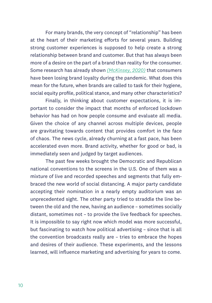For many brands, the very concept of "relationship" has been at the heart of their marketing efforts for several years. Building strong customer experiences is supposed to help create a strong relationship between brand and customer. But that has always been more of a desire on the part of a brand than reality for the consumer. Some research has already shown *[\(McKinsey, 2020\)](https://www.mckinsey.com/business-functions/marketing-and-sales/our-insights/the-great-consumer-shift-ten-charts-that-show-how-us-shopping-behavior-is-changing/)* that consumers have been losing brand loyalty during the pandemic. What does this mean for the future, when brands are called to task for their hygiene, social equity profile, political stance, and many other characteristics?

Finally, in thinking about customer expectations, it is important to consider the impact that months of enforced lockdown behavior has had on how people consume and evaluate all media. Given the choice of any channel across multiple devices, people are gravitating towards content that provides comfort in the face of chaos. The news cycle, already churning at a fast pace, has been accelerated even more. Brand activity, whether for good or bad, is immediately seen and judged by target audiences.

The past few weeks brought the Democratic and Republican national conventions to the screens in the U.S. One of them was a mixture of live and recorded speeches and segments that fully embraced the new world of social distancing. A major party candidate accepting their nomination in a nearly empty auditorium was an unprecedented sight. The other party tried to straddle the line between the old and the new, having an audience – sometimes socially distant, sometimes not – to provide the live feedback for speeches. It is impossible to say right now which model was more successful, but fascinating to watch how political advertising – since that is all the convention broadcasts really are – tries to embrace the hopes and desires of their audience. These experiments, and the lessons learned, will influence marketing and advertising for years to come.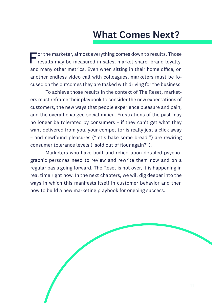# What Comes Next?

For the marketer, almost everything comes down to results. Those results may be measured in sales, market share, brand loyalty, and many other metrics. Even when sitting in their home office, on another endless video call with colleagues, marketers must be focused on the outcomes they are tasked with driving for the business.

To achieve those results in the context of The Reset, marketers must reframe their playbook to consider the new expectations of customers, the new ways that people experience pleasure and pain, and the overall changed social milieu. Frustrations of the past may no longer be tolerated by consumers – if they can't get what they want delivered from you, your competitor is really just a click away – and newfound pleasures ("let's bake some bread!") are rewiring consumer tolerance levels ("sold out of flour again?").

Marketers who have built and relied upon detailed psychographic personas need to review and rewrite them now and on a regular basis going forward. The Reset is not over, it is happening in real time right now. In the next chapters, we will dig deeper into the ways in which this manifests itself in customer behavior and then how to build a new marketing playbook for ongoing success.

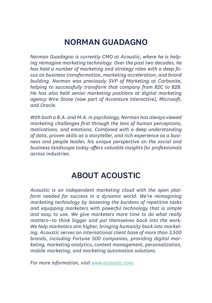## NORMAN GUADAGNO

*Norman Guadagno is currently CMO at Acoustic, where he is helping reimagine marketing technology. Over the past two decades, he has held a number of marketing and strategy roles with a deep focus on business transformation, marketing acceleration, and brand building. Norman was previously SVP of Marketing at Carbonite, helping to successfully transform that company from B2C to B2B. He has also held senior marketing positions at digital marketing agency Wire Stone (now part of Accenture Interactive), Microsoft, and Oracle.*

*With both a B.A. and M.A. in psychology, Norman has always viewed marketing challenges first through the lens of human perceptions, motivations, and emotions. Combined with a deep understanding of data, proven skills as a storyteller, and rich experience as a business and people leader, his unique perspective on the social and business landscape today offers valuable insights for professionals across industries.*

## ABOUT ACOUSTIC

*Acoustic is an independent marketing cloud with the open platform needed for success in a dynamic world. We're reimagining marketing technology by lessening the burdens of repetitive tasks and equipping marketers with powerful technology that is simple and easy to use. We give marketers more time to do what really matters—to think bigger and put themselves back into the work. We help marketers aim higher, bringing humanity back into marketing. Acoustic serves an international client base of more than 3,500 brands, including Fortune 500 companies, providing digital marketing, marketing analytics, content management, personalization, mobile marketing, and marketing automation solutions.*

*For more information, visit [www.acoustic.com.](http://www.acoustic.com)*